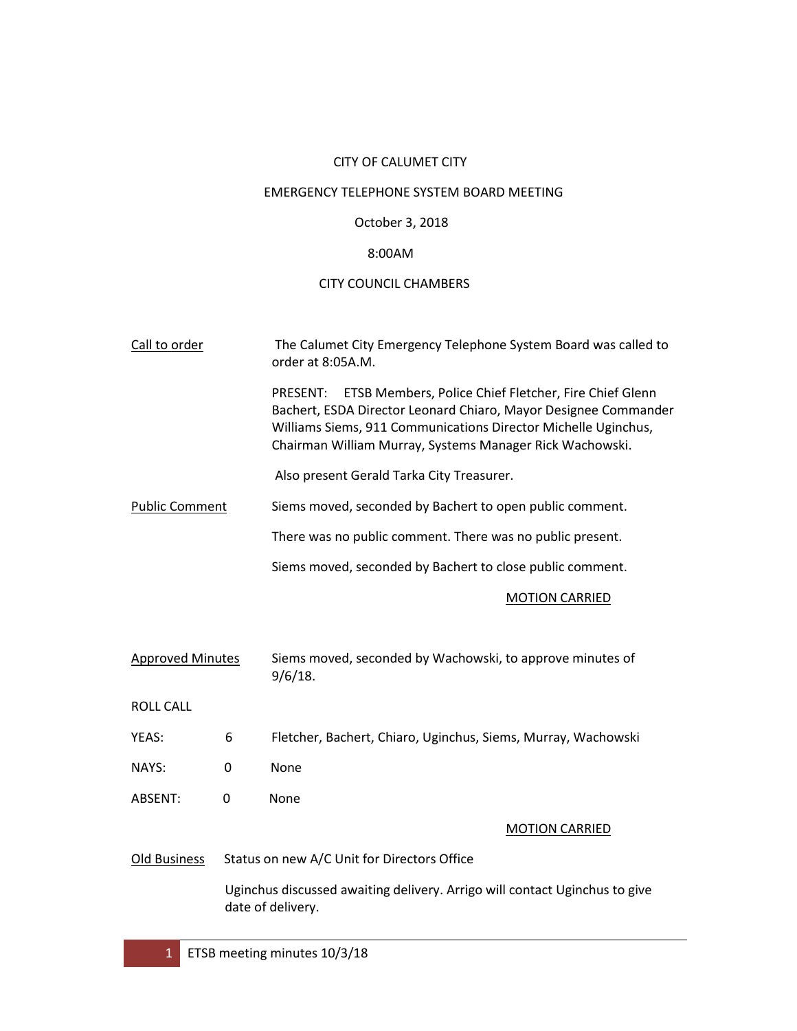## CITY OF CALUMET CITY

# EMERGENCY TELEPHONE SYSTEM BOARD MEETING

## October 3, 2018

### 8:00AM

## CITY COUNCIL CHAMBERS

| Call to order         | The Calumet City Emergency Telephone System Board was called to<br>order at 8:05A.M.                                                                                                                                                                            |
|-----------------------|-----------------------------------------------------------------------------------------------------------------------------------------------------------------------------------------------------------------------------------------------------------------|
|                       | PRESENT: ETSB Members, Police Chief Fletcher, Fire Chief Glenn<br>Bachert, ESDA Director Leonard Chiaro, Mayor Designee Commander<br>Williams Siems, 911 Communications Director Michelle Uginchus,<br>Chairman William Murray, Systems Manager Rick Wachowski. |
|                       | Also present Gerald Tarka City Treasurer.                                                                                                                                                                                                                       |
| <b>Public Comment</b> | Siems moved, seconded by Bachert to open public comment.                                                                                                                                                                                                        |
|                       | There was no public comment. There was no public present.                                                                                                                                                                                                       |
|                       | Siems moved, seconded by Bachert to close public comment.                                                                                                                                                                                                       |
|                       | <b>MOTION CARRIED</b>                                                                                                                                                                                                                                           |

| <b>Approved Minutes</b> |                                             | Siems moved, seconded by Wachowski, to approve minutes of<br>$9/6/18$ .                         |  |
|-------------------------|---------------------------------------------|-------------------------------------------------------------------------------------------------|--|
| <b>ROLL CALL</b>        |                                             |                                                                                                 |  |
| YEAS:                   | 6                                           | Fletcher, Bachert, Chiaro, Uginchus, Siems, Murray, Wachowski                                   |  |
| NAYS:                   | 0                                           | None                                                                                            |  |
| ABSENT:                 | 0                                           | None                                                                                            |  |
|                         |                                             | <b>MOTION CARRIED</b>                                                                           |  |
| Old Business            | Status on new A/C Unit for Directors Office |                                                                                                 |  |
|                         |                                             | Uginchus discussed awaiting delivery. Arrigo will contact Uginchus to give<br>date of delivery. |  |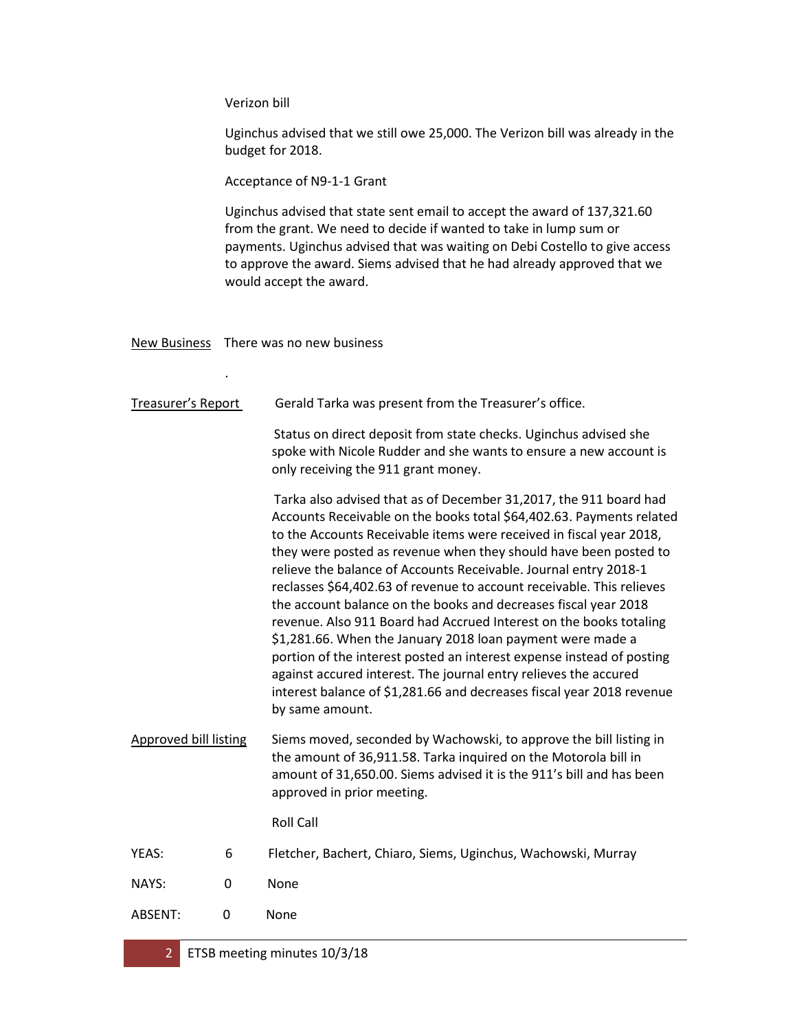Verizon bill

Uginchus advised that we still owe 25,000. The Verizon bill was already in the budget for 2018.

Acceptance of N9-1-1 Grant

Uginchus advised that state sent email to accept the award of 137,321.60 from the grant. We need to decide if wanted to take in lump sum or payments. Uginchus advised that was waiting on Debi Costello to give access to approve the award. Siems advised that he had already approved that we would accept the award.

New Business There was no new business

.

| Treasurer's Report           |   | Gerald Tarka was present from the Treasurer's office.                                                                                                                                                                                                                                                                                                                                                                                                                                                                                                                                                                                                                                                                                                                                                                                                                             |
|------------------------------|---|-----------------------------------------------------------------------------------------------------------------------------------------------------------------------------------------------------------------------------------------------------------------------------------------------------------------------------------------------------------------------------------------------------------------------------------------------------------------------------------------------------------------------------------------------------------------------------------------------------------------------------------------------------------------------------------------------------------------------------------------------------------------------------------------------------------------------------------------------------------------------------------|
|                              |   | Status on direct deposit from state checks. Uginchus advised she<br>spoke with Nicole Rudder and she wants to ensure a new account is<br>only receiving the 911 grant money.                                                                                                                                                                                                                                                                                                                                                                                                                                                                                                                                                                                                                                                                                                      |
|                              |   | Tarka also advised that as of December 31,2017, the 911 board had<br>Accounts Receivable on the books total \$64,402.63. Payments related<br>to the Accounts Receivable items were received in fiscal year 2018,<br>they were posted as revenue when they should have been posted to<br>relieve the balance of Accounts Receivable. Journal entry 2018-1<br>reclasses \$64,402.63 of revenue to account receivable. This relieves<br>the account balance on the books and decreases fiscal year 2018<br>revenue. Also 911 Board had Accrued Interest on the books totaling<br>\$1,281.66. When the January 2018 loan payment were made a<br>portion of the interest posted an interest expense instead of posting<br>against accured interest. The journal entry relieves the accured<br>interest balance of \$1,281.66 and decreases fiscal year 2018 revenue<br>by same amount. |
| <b>Approved bill listing</b> |   | Siems moved, seconded by Wachowski, to approve the bill listing in<br>the amount of 36,911.58. Tarka inquired on the Motorola bill in<br>amount of 31,650.00. Siems advised it is the 911's bill and has been<br>approved in prior meeting.                                                                                                                                                                                                                                                                                                                                                                                                                                                                                                                                                                                                                                       |
|                              |   | <b>Roll Call</b>                                                                                                                                                                                                                                                                                                                                                                                                                                                                                                                                                                                                                                                                                                                                                                                                                                                                  |
| YEAS:                        | 6 | Fletcher, Bachert, Chiaro, Siems, Uginchus, Wachowski, Murray                                                                                                                                                                                                                                                                                                                                                                                                                                                                                                                                                                                                                                                                                                                                                                                                                     |
| NAYS:                        | 0 | None                                                                                                                                                                                                                                                                                                                                                                                                                                                                                                                                                                                                                                                                                                                                                                                                                                                                              |
| ABSENT:                      | 0 | None                                                                                                                                                                                                                                                                                                                                                                                                                                                                                                                                                                                                                                                                                                                                                                                                                                                                              |